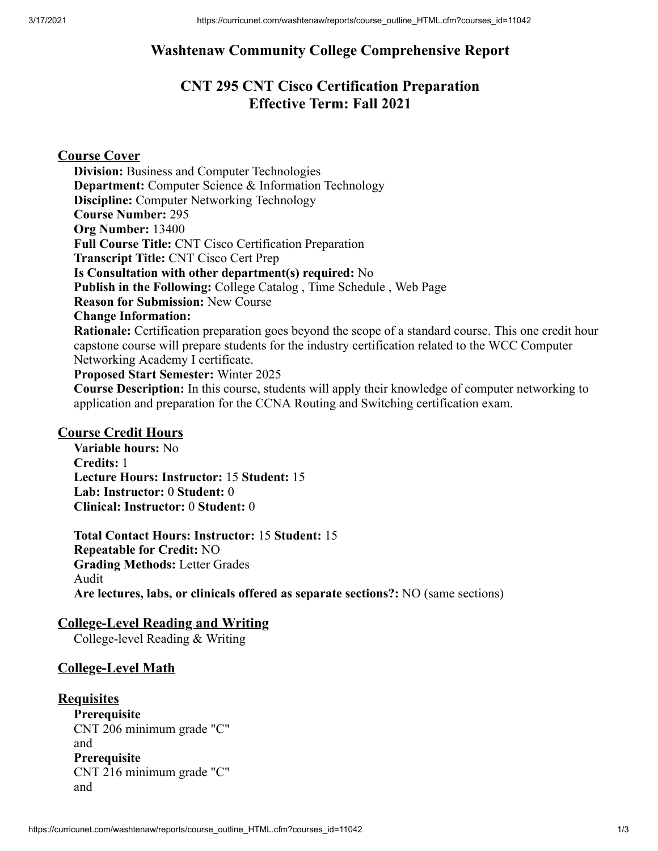## **Washtenaw Community College Comprehensive Report**

# **CNT 295 CNT Cisco Certification Preparation Effective Term: Fall 2021**

### **Course Cover**

**Division:** Business and Computer Technologies **Department:** Computer Science & Information Technology **Discipline:** Computer Networking Technology **Course Number:** 295 **Org Number:** 13400 **Full Course Title:** CNT Cisco Certification Preparation **Transcript Title:** CNT Cisco Cert Prep **Is Consultation with other department(s) required:** No **Publish in the Following:** College Catalog , Time Schedule , Web Page **Reason for Submission:** New Course **Change Information: Rationale:** Certification preparation goes beyond the scope of a standard course. This one credit hour capstone course will prepare students for the industry certification related to the WCC Computer Networking Academy I certificate. **Proposed Start Semester:** Winter 2025

**Course Description:** In this course, students will apply their knowledge of computer networking to application and preparation for the CCNA Routing and Switching certification exam.

### **Course Credit Hours**

**Variable hours:** No **Credits:** 1 **Lecture Hours: Instructor:** 15 **Student:** 15 **Lab: Instructor:** 0 **Student:** 0 **Clinical: Instructor:** 0 **Student:** 0

**Total Contact Hours: Instructor:** 15 **Student:** 15 **Repeatable for Credit:** NO **Grading Methods:** Letter Grades Audit **Are lectures, labs, or clinicals offered as separate sections?:** NO (same sections)

### **College-Level Reading and Writing**

College-level Reading & Writing

### **College-Level Math**

### **Requisites**

**Prerequisite** CNT 206 minimum grade "C" and **Prerequisite** CNT 216 minimum grade "C" and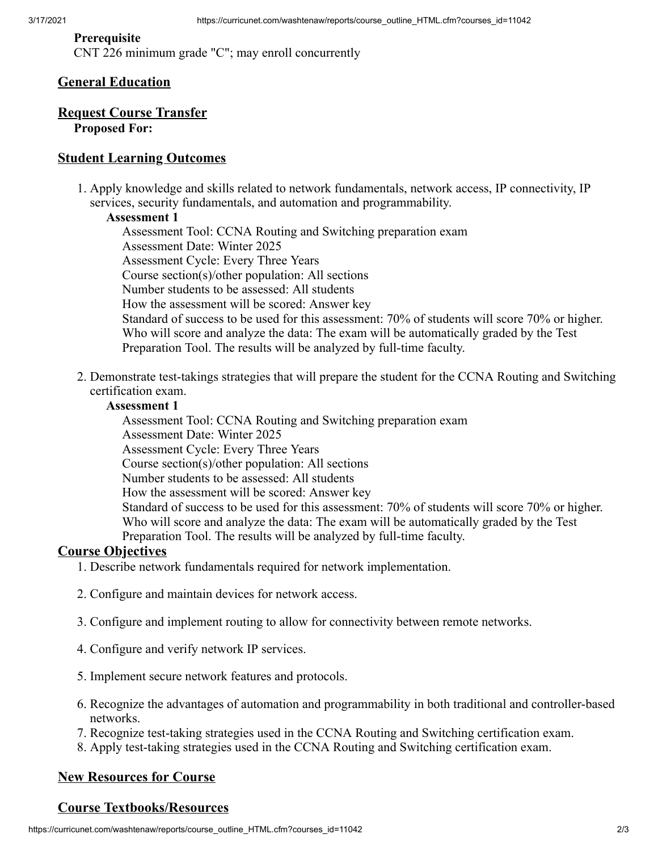#### **Prerequisite**

CNT 226 minimum grade "C"; may enroll concurrently

### **General Education**

### **Request Course Transfer Proposed For:**

### **Student Learning Outcomes**

1. Apply knowledge and skills related to network fundamentals, network access, IP connectivity, IP services, security fundamentals, and automation and programmability.

#### **Assessment 1**

Assessment Tool: CCNA Routing and Switching preparation exam Assessment Date: Winter 2025 Assessment Cycle: Every Three Years Course section(s)/other population: All sections Number students to be assessed: All students How the assessment will be scored: Answer key Standard of success to be used for this assessment: 70% of students will score 70% or higher. Who will score and analyze the data: The exam will be automatically graded by the Test Preparation Tool. The results will be analyzed by full-time faculty.

2. Demonstrate test-takings strategies that will prepare the student for the CCNA Routing and Switching certification exam.

#### **Assessment 1**

Assessment Tool: CCNA Routing and Switching preparation exam Assessment Date: Winter 2025 Assessment Cycle: Every Three Years Course section(s)/other population: All sections Number students to be assessed: All students How the assessment will be scored: Answer key Standard of success to be used for this assessment: 70% of students will score 70% or higher. Who will score and analyze the data: The exam will be automatically graded by the Test Preparation Tool. The results will be analyzed by full-time faculty.

### **Course Objectives**

- 1. Describe network fundamentals required for network implementation.
- 2. Configure and maintain devices for network access.
- 3. Configure and implement routing to allow for connectivity between remote networks.
- 4. Configure and verify network IP services.
- 5. Implement secure network features and protocols.
- 6. Recognize the advantages of automation and programmability in both traditional and controller-based networks.
- 7. Recognize test-taking strategies used in the CCNA Routing and Switching certification exam.
- 8. Apply test-taking strategies used in the CCNA Routing and Switching certification exam.

## **New Resources for Course**

## **Course Textbooks/Resources**